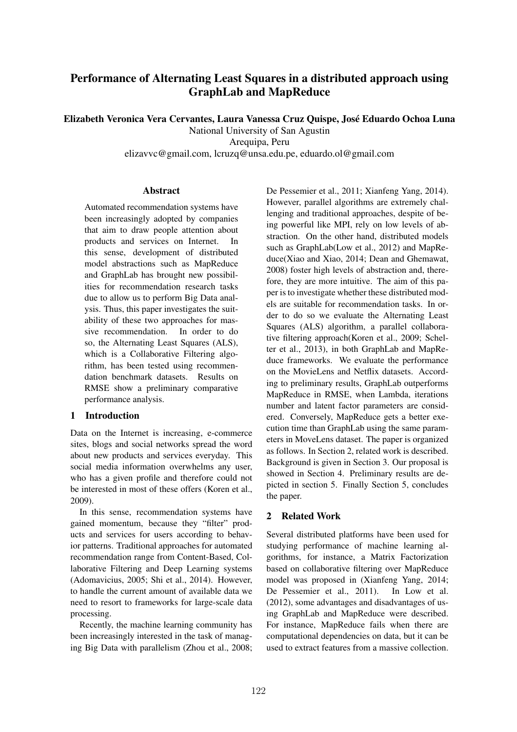# Performance of Alternating Least Squares in a distributed approach using GraphLab and MapReduce

Elizabeth Veronica Vera Cervantes, Laura Vanessa Cruz Quispe, Jose Eduardo Ochoa Luna ´

National University of San Agustin

Arequipa, Peru

elizavvc@gmail.com, lcruzq@unsa.edu.pe, eduardo.ol@gmail.com

# **Abstract**

Automated recommendation systems have been increasingly adopted by companies that aim to draw people attention about products and services on Internet. In this sense, development of distributed model abstractions such as MapReduce and GraphLab has brought new possibilities for recommendation research tasks due to allow us to perform Big Data analysis. Thus, this paper investigates the suitability of these two approaches for massive recommendation. In order to do so, the Alternating Least Squares (ALS), which is a Collaborative Filtering algorithm, has been tested using recommendation benchmark datasets. Results on RMSE show a preliminary comparative performance analysis.

# 1 Introduction

Data on the Internet is increasing, e-commerce sites, blogs and social networks spread the word about new products and services everyday. This social media information overwhelms any user, who has a given profile and therefore could not be interested in most of these offers (Koren et al., 2009).

In this sense, recommendation systems have gained momentum, because they "filter" products and services for users according to behavior patterns. Traditional approaches for automated recommendation range from Content-Based, Collaborative Filtering and Deep Learning systems (Adomavicius, 2005; Shi et al., 2014). However, to handle the current amount of available data we need to resort to frameworks for large-scale data processing.

Recently, the machine learning community has been increasingly interested in the task of managing Big Data with parallelism (Zhou et al., 2008;

De Pessemier et al., 2011; Xianfeng Yang, 2014). However, parallel algorithms are extremely challenging and traditional approaches, despite of being powerful like MPI, rely on low levels of abstraction. On the other hand, distributed models such as GraphLab(Low et al., 2012) and MapReduce(Xiao and Xiao, 2014; Dean and Ghemawat, 2008) foster high levels of abstraction and, therefore, they are more intuitive. The aim of this paper is to investigate whether these distributed models are suitable for recommendation tasks. In order to do so we evaluate the Alternating Least Squares (ALS) algorithm, a parallel collaborative filtering approach(Koren et al., 2009; Schelter et al., 2013), in both GraphLab and MapReduce frameworks. We evaluate the performance on the MovieLens and Netflix datasets. According to preliminary results, GraphLab outperforms MapReduce in RMSE, when Lambda, iterations number and latent factor parameters are considered. Conversely, MapReduce gets a better execution time than GraphLab using the same parameters in MoveLens dataset. The paper is organized as follows. In Section 2, related work is described. Background is given in Section 3. Our proposal is showed in Section 4. Preliminary results are depicted in section 5. Finally Section 5, concludes the paper.

# 2 Related Work

Several distributed platforms have been used for studying performance of machine learning algorithms, for instance, a Matrix Factorization based on collaborative filtering over MapReduce model was proposed in (Xianfeng Yang, 2014; De Pessemier et al., 2011). In Low et al. (2012), some advantages and disadvantages of using GraphLab and MapReduce were described. For instance, MapReduce fails when there are computational dependencies on data, but it can be used to extract features from a massive collection.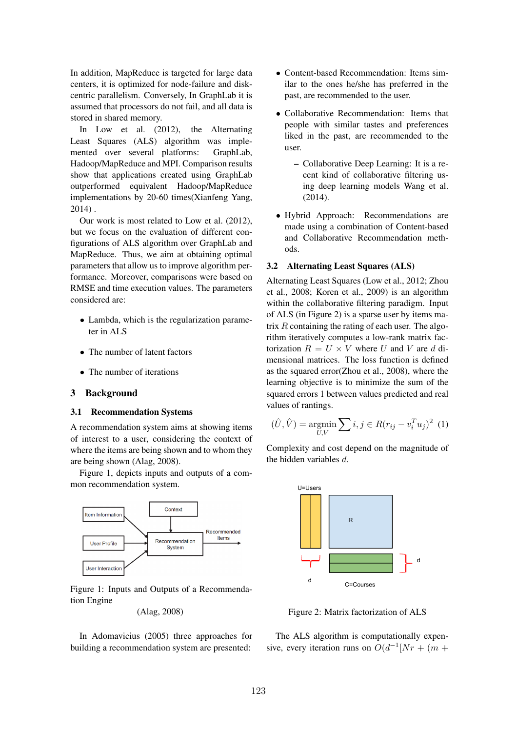In addition, MapReduce is targeted for large data centers, it is optimized for node-failure and diskcentric parallelism. Conversely, In GraphLab it is assumed that processors do not fail, and all data is stored in shared memory.

In Low et al. (2012), the Alternating Least Squares (ALS) algorithm was implemented over several platforms: GraphLab, Hadoop/MapReduce and MPI. Comparison results show that applications created using GraphLab outperformed equivalent Hadoop/MapReduce implementations by 20-60 times(Xianfeng Yang, 2014) .

Our work is most related to Low et al. (2012), but we focus on the evaluation of different configurations of ALS algorithm over GraphLab and MapReduce. Thus, we aim at obtaining optimal parameters that allow us to improve algorithm performance. Moreover, comparisons were based on RMSE and time execution values. The parameters considered are:

- *•* Lambda, which is the regularization parameter in ALS
- The number of latent factors
- The number of iterations

#### 3 Background

#### 3.1 Recommendation Systems

A recommendation system aims at showing items of interest to a user, considering the context of where the items are being shown and to whom they are being shown (Alag, 2008).

Figure 1, depicts inputs and outputs of a common recommendation system.



Figure 1: Inputs and Outputs of a Recommendation Engine

(Alag, 2008)

In Adomavicius (2005) three approaches for building a recommendation system are presented:

- *•* Content-based Recommendation: Items similar to the ones he/she has preferred in the past, are recommended to the user.
- *•* Collaborative Recommendation: Items that people with similar tastes and preferences liked in the past, are recommended to the user.
	- Collaborative Deep Learning: It is a recent kind of collaborative filtering using deep learning models Wang et al. (2014).
- *•* Hybrid Approach: Recommendations are made using a combination of Content-based and Collaborative Recommendation methods.

# 3.2 Alternating Least Squares (ALS)

Alternating Least Squares (Low et al., 2012; Zhou et al., 2008; Koren et al., 2009) is an algorithm within the collaborative filtering paradigm. Input of ALS (in Figure 2) is a sparse user by items matrix *R* containing the rating of each user. The algorithm iteratively computes a low-rank matrix factorization  $R = U \times V$  where *U* and *V* are *d* dimensional matrices. The loss function is defined as the squared error(Zhou et al., 2008), where the learning objective is to minimize the sum of the squared errors 1 between values predicted and real values of rantings.

$$
(\hat{U}, \hat{V}) = \underset{U,V}{\text{argmin}} \sum_{i,j} \in R(r_{ij} - v_i^T u_j)^2
$$
 (1)

Complexity and cost depend on the magnitude of the hidden variables *d*.



Figure 2: Matrix factorization of ALS

The ALS algorithm is computationally expensive, every iteration runs on  $O(d^{-1}[Nr + (m +$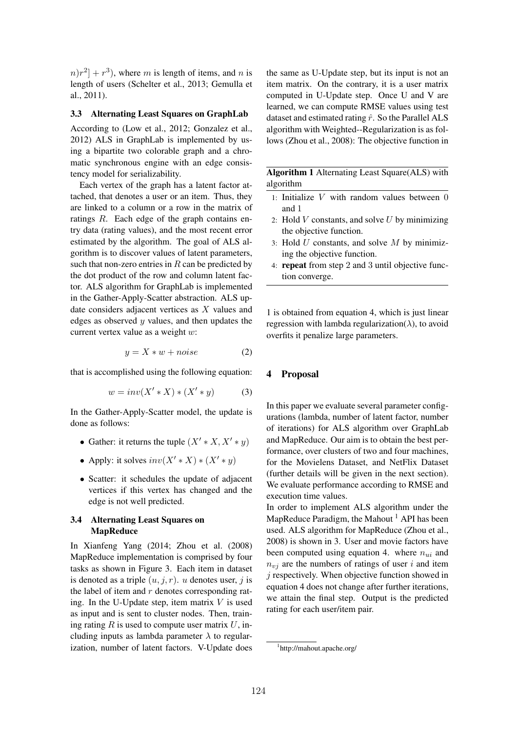$n(r^2 + r^3)$ , where *m* is length of items, and *n* is length of users (Schelter et al., 2013; Gemulla et al., 2011).

#### 3.3 Alternating Least Squares on GraphLab

According to (Low et al., 2012; Gonzalez et al., 2012) ALS in GraphLab is implemented by using a bipartite two colorable graph and a chromatic synchronous engine with an edge consistency model for serializability.

Each vertex of the graph has a latent factor attached, that denotes a user or an item. Thus, they are linked to a column or a row in the matrix of ratings *R*. Each edge of the graph contains entry data (rating values), and the most recent error estimated by the algorithm. The goal of ALS algorithm is to discover values of latent parameters, such that non-zero entries in *R* can be predicted by the dot product of the row and column latent factor. ALS algorithm for GraphLab is implemented in the Gather-Apply-Scatter abstraction. ALS update considers adjacent vertices as *X* values and edges as observed *y* values, and then updates the current vertex value as a weight *w*:

$$
y = X * w + noise \tag{2}
$$

that is accomplished using the following equation:

$$
w = inv(X' * X) * (X' * y) \tag{3}
$$

In the Gather-Apply-Scatter model, the update is done as follows:

- Gather: it returns the tuple  $(X' * X, X' * y)$
- Apply: it solves  $inv(X' * X) * (X' * y)$
- *•* Scatter: it schedules the update of adjacent vertices if this vertex has changed and the edge is not well predicted.

# 3.4 Alternating Least Squares on MapReduce

In Xianfeng Yang (2014; Zhou et al. (2008) MapReduce implementation is comprised by four tasks as shown in Figure 3. Each item in dataset is denoted as a triple  $(u, j, r)$ . *u* denotes user, *j* is the label of item and *r* denotes corresponding rating. In the U-Update step, item matrix *V* is used as input and is sent to cluster nodes. Then, training rating  $R$  is used to compute user matrix  $U$ , including inputs as lambda parameter  $\lambda$  to regularization, number of latent factors. V-Update does the same as U-Update step, but its input is not an item matrix. On the contrary, it is a user matrix computed in U-Update step. Once U and V are learned, we can compute RMSE values using test dataset and estimated rating  $\hat{r}$ . So the Parallel ALS algorithm with Weighted--Regularization is as follows (Zhou et al., 2008): The objective function in

Algorithm 1 Alternating Least Square(ALS) with algorithm

- 1: Initialize *V* with random values between 0 and 1
- 2: Hold *V* constants, and solve *U* by minimizing the objective function.
- 3: Hold *U* constants, and solve *M* by minimizing the objective function.
- 4: repeat from step 2 and 3 until objective function converge.

1 is obtained from equation 4, which is just linear regression with lambda regularization( $\lambda$ ), to avoid overfits it penalize large parameters.

#### 4 Proposal

In this paper we evaluate several parameter configurations (lambda, number of latent factor, number of iterations) for ALS algorithm over GraphLab and MapReduce. Our aim is to obtain the best performance, over clusters of two and four machines, for the Movielens Dataset, and NetFlix Dataset (further details will be given in the next section). We evaluate performance according to RMSE and execution time values.

In order to implement ALS algorithm under the MapReduce Paradigm, the Mahout  $<sup>1</sup>$  API has been</sup> used. ALS algorithm for MapReduce (Zhou et al., 2008) is shown in 3. User and movie factors have been computed using equation 4. where *nui* and  $n_{vi}$  are the numbers of ratings of user *i* and item *j* respectively. When objective function showed in equation 4 does not change after further iterations, we attain the final step. Output is the predicted rating for each user/item pair.

<sup>1</sup> http://mahout.apache.org/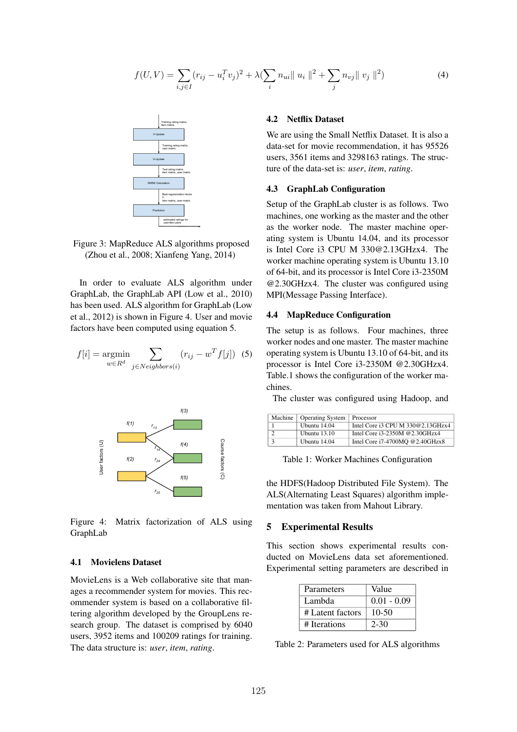$$
f(U, V) = \sum_{i,j \in I} (r_{ij} - u_i^T v_j)^2 + \lambda (\sum_i n_{ui} || u_i ||^2 + \sum_j n_{vj} || v_j ||^2)
$$
 (4)



Figure 3: MapReduce ALS algorithms proposed (Zhou et al., 2008; Xianfeng Yang, 2014)

In order to evaluate ALS algorithm under GraphLab, the GraphLab API (Low et al., 2010) has been used. ALS algorithm for GraphLab (Low et al., 2012) is shown in Figure 4. User and movie factors have been computed using equation 5.

$$
f[i] = \underset{w \in R^d}{\text{argmin}} \sum_{j \in Neighbors(i)} (r_{ij} - w^T f[j]) \tag{5}
$$



Figure 4: Matrix factorization of ALS using GraphLab

#### 4.1 Movielens Dataset

MovieLens is a Web collaborative site that manages a recommender system for movies. This recommender system is based on a collaborative filtering algorithm developed by the GroupLens research group. The dataset is comprised by 6040 users, 3952 items and 100209 ratings for training. The data structure is: *user*, *item*, *rating*.

## 4.2 Netflix Dataset

We are using the Small Netflix Dataset. It is also a data-set for movie recommendation, it has 95526 users, 3561 items and 3298163 ratings. The structure of the data-set is: *user*, *item*, *rating*.

#### 4.3 GraphLab Configuration

Setup of the GraphLab cluster is as follows. Two machines, one working as the master and the other as the worker node. The master machine operating system is Ubuntu 14.04, and its processor is Intel Core i3 CPU M 330@2.13GHzx4. The worker machine operating system is Ubuntu 13.10 of 64-bit, and its processor is Intel Core i3-2350M @2.30GHzx4. The cluster was configured using MPI(Message Passing Interface).

# 4.4 MapReduce Configuration

The setup is as follows. Four machines, three worker nodes and one master. The master machine operating system is Ubuntu 13.10 of 64-bit, and its processor is Intel Core i3-2350M @2.30GHzx4. Table.1 shows the configuration of the worker machines.

The cluster was configured using Hadoop, and

| Machine   Operating System | Processor                         |
|----------------------------|-----------------------------------|
| Ubuntu 14.04               | Intel Core i3 CPU M 330@2.13GHzx4 |
| <b>Ubuntu</b> 13.10        | Intel Core i3-2350M @2.30GHzx4    |
| Ubuntu 14.04               | Intel Core i7-4700MQ @2.40GHzx8   |

Table 1: Worker Machines Configuration

the HDFS(Hadoop Distributed File System). The ALS(Alternating Least Squares) algorithm implementation was taken from Mahout Library.

#### 5 Experimental Results

This section shows experimental results conducted on MovieLens data set aforementioned. Experimental setting parameters are described in

| <b>Parameters</b> | Value         |
|-------------------|---------------|
| Lambda            | $0.01 - 0.09$ |
| # Latent factors  | $10-50$       |
| # Iterations      | $2 - 30$      |

Table 2: Parameters used for ALS algorithms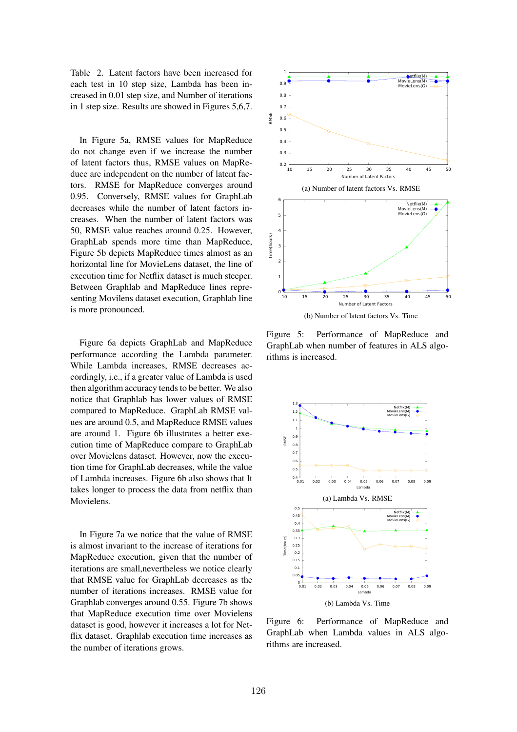Table 2. Latent factors have been increased for each test in 10 step size, Lambda has been increased in 0.01 step size, and Number of iterations in 1 step size. Results are showed in Figures 5,6,7.

In Figure 5a, RMSE values for MapReduce do not change even if we increase the number of latent factors thus, RMSE values on MapReduce are independent on the number of latent factors. RMSE for MapReduce converges around 0.95. Conversely, RMSE values for GraphLab decreases while the number of latent factors increases. When the number of latent factors was 50, RMSE value reaches around 0.25. However, GraphLab spends more time than MapReduce, Figure 5b depicts MapReduce times almost as an horizontal line for MovieLens dataset, the line of execution time for Netflix dataset is much steeper. Between Graphlab and MapReduce lines representing Movilens dataset execution, Graphlab line is more pronounced.

Figure 6a depicts GraphLab and MapReduce performance according the Lambda parameter. While Lambda increases, RMSE decreases accordingly, i.e., if a greater value of Lambda is used then algorithm accuracy tends to be better. We also notice that Graphlab has lower values of RMSE compared to MapReduce. GraphLab RMSE values are around 0.5, and MapReduce RMSE values are around 1. Figure 6b illustrates a better execution time of MapReduce compare to GraphLab over Movielens dataset. However, now the execution time for GraphLab decreases, while the value of Lambda increases. Figure 6b also shows that It takes longer to process the data from netflix than **Movielens** 

In Figure 7a we notice that the value of RMSE is almost invariant to the increase of iterations for MapReduce execution, given that the number of iterations are small,nevertheless we notice clearly that RMSE value for GraphLab decreases as the number of iterations increases. RMSE value for Graphlab converges around 0.55. Figure 7b shows that MapReduce execution time over Movielens dataset is good, however it increases a lot for Netflix dataset. Graphlab execution time increases as the number of iterations grows.



Figure 5: Performance of MapReduce and GraphLab when number of features in ALS algorithms is increased.



Figure 6: Performance of MapReduce and GraphLab when Lambda values in ALS algorithms are increased.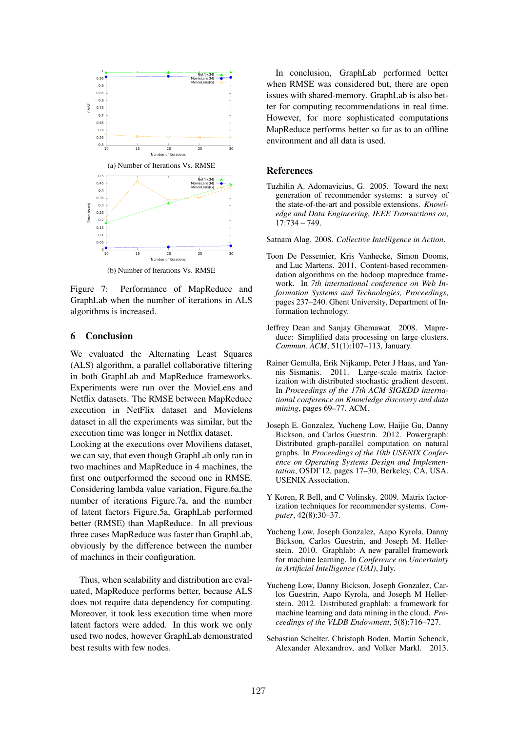

Figure 7: Performance of MapReduce and GraphLab when the number of iterations in ALS algorithms is increased.

#### 6 Conclusion

We evaluated the Alternating Least Squares (ALS) algorithm, a parallel collaborative filtering in both GraphLab and MapReduce frameworks. Experiments were run over the MovieLens and Netflix datasets. The RMSE between MapReduce execution in NetFlix dataset and Movielens dataset in all the experiments was similar, but the execution time was longer in Netflix dataset. Looking at the executions over Moviliens dataset, we can say, that even though GraphLab only ran in two machines and MapReduce in 4 machines, the first one outperformed the second one in RMSE. Considering lambda value variation, Figure.6a,the number of iterations Figure.7a, and the number of latent factors Figure.5a, GraphLab performed better (RMSE) than MapReduce. In all previous three cases MapReduce was faster than GraphLab, obviously by the difference between the number of machines in their configuration.

Thus, when scalability and distribution are evaluated, MapReduce performs better, because ALS does not require data dependency for computing. Moreover, it took less execution time when more latent factors were added. In this work we only used two nodes, however GraphLab demonstrated best results with few nodes.

In conclusion, GraphLab performed better when RMSE was considered but, there are open issues with shared-memory. GraphLab is also better for computing recommendations in real time. However, for more sophisticated computations MapReduce performs better so far as to an offline environment and all data is used.

#### References

Tuzhilin A. Adomavicius, G. 2005. Toward the next generation of recommender systems: a survey of the state-of-the-art and possible extensions. *Knowledge and Data Engineering, IEEE Transactions on*, 17:734 – 749.

Satnam Alag. 2008. *Collective Intelligence in Action*.

- Toon De Pessemier, Kris Vanhecke, Simon Dooms, and Luc Martens. 2011. Content-based recommendation algorithms on the hadoop mapreduce framework. In *7th international conference on Web Information Systems and Technologies, Proceedings*, pages 237–240. Ghent University, Department of Information technology.
- Jeffrey Dean and Sanjay Ghemawat. 2008. Mapreduce: Simplified data processing on large clusters. *Commun. ACM*, 51(1):107–113, January.
- Rainer Gemulla, Erik Nijkamp, Peter J Haas, and Yannis Sismanis. 2011. Large-scale matrix factorization with distributed stochastic gradient descent. In *Proceedings of the 17th ACM SIGKDD international conference on Knowledge discovery and data mining*, pages 69–77. ACM.
- Joseph E. Gonzalez, Yucheng Low, Haijie Gu, Danny Bickson, and Carlos Guestrin. 2012. Powergraph: Distributed graph-parallel computation on natural graphs. In *Proceedings of the 10th USENIX Conference on Operating Systems Design and Implementation*, OSDI'12, pages 17–30, Berkeley, CA, USA. USENIX Association.
- Y Koren, R Bell, and C Volinsky. 2009. Matrix factorization techniques for recommender systems. *Computer*, 42(8):30–37.
- Yucheng Low, Joseph Gonzalez, Aapo Kyrola, Danny Bickson, Carlos Guestrin, and Joseph M. Hellerstein. 2010. Graphlab: A new parallel framework for machine learning. In *Conference on Uncertainty in Artificial Intelligence (UAI)*, July.
- Yucheng Low, Danny Bickson, Joseph Gonzalez, Carlos Guestrin, Aapo Kyrola, and Joseph M Hellerstein. 2012. Distributed graphlab: a framework for machine learning and data mining in the cloud. *Proceedings of the VLDB Endowment*, 5(8):716–727.
- Sebastian Schelter, Christoph Boden, Martin Schenck, Alexander Alexandrov, and Volker Markl. 2013.